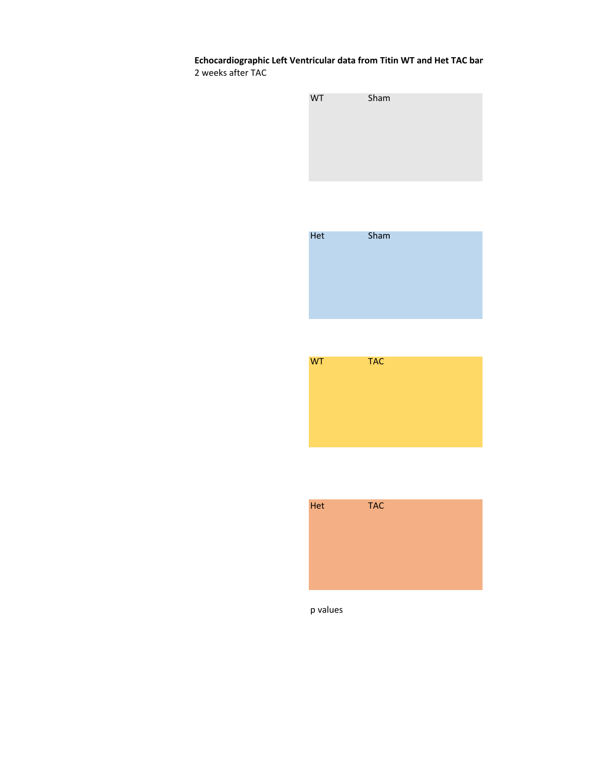**Echocardiographic Left Ventricular data from Titin WT and Het TAC ban** 2 weeks after TAC









p values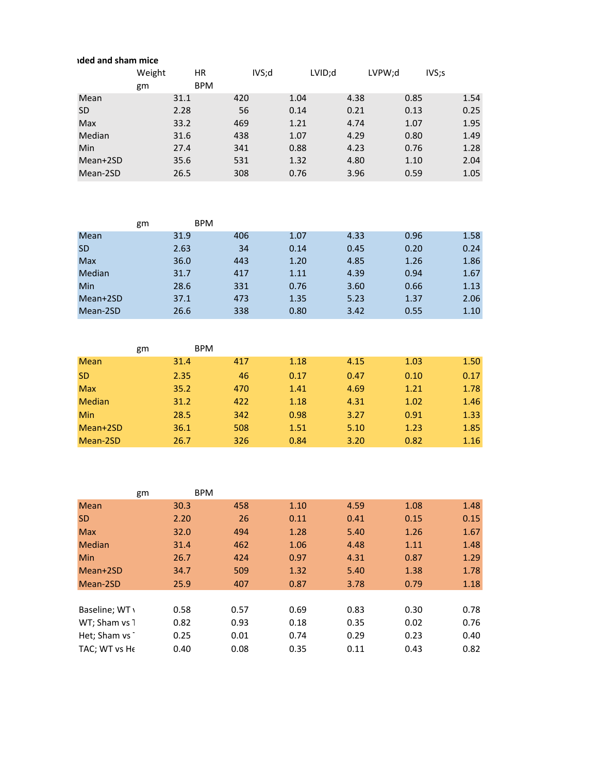|            | ided and sham mice |            |       |      |        |        |       |  |  |  |  |
|------------|--------------------|------------|-------|------|--------|--------|-------|--|--|--|--|
|            | Weight             | HR         | IVS;d |      | LVID;d | LVPW:d | IVS;S |  |  |  |  |
|            | gm                 | <b>BPM</b> |       |      |        |        |       |  |  |  |  |
| Mean       |                    | 31.1       | 420   | 1.04 | 4.38   | 0.85   | 1.54  |  |  |  |  |
| <b>SD</b>  |                    | 2.28       | 56    | 0.14 | 0.21   | 0.13   | 0.25  |  |  |  |  |
| <b>Max</b> |                    | 33.2       | 469   | 1.21 | 4.74   | 1.07   | 1.95  |  |  |  |  |
| Median     |                    | 31.6       | 438   | 1.07 | 4.29   | 0.80   | 1.49  |  |  |  |  |
| Min        |                    | 27.4       | 341   | 0.88 | 4.23   | 0.76   | 1.28  |  |  |  |  |
| Mean+2SD   |                    | 35.6       | 531   | 1.32 | 4.80   | 1.10   | 2.04  |  |  |  |  |
| Mean-2SD   |                    | 26.5       | 308   | 0.76 | 3.96   | 0.59   | 1.05  |  |  |  |  |

|            | gm | <b>BPM</b> |     |      |      |      |      |
|------------|----|------------|-----|------|------|------|------|
| Mean       |    | 31.9       | 406 | 1.07 | 4.33 | 0.96 | 1.58 |
| <b>SD</b>  |    | 2.63       | 34  | 0.14 | 0.45 | 0.20 | 0.24 |
| <b>Max</b> |    | 36.0       | 443 | 1.20 | 4.85 | 1.26 | 1.86 |
| Median     |    | 31.7       | 417 | 1.11 | 4.39 | 0.94 | 1.67 |
| Min        |    | 28.6       | 331 | 0.76 | 3.60 | 0.66 | 1.13 |
| Mean+2SD   |    | 37.1       | 473 | 1.35 | 5.23 | 1.37 | 2.06 |
| Mean-2SD   |    | 26.6       | 338 | 0.80 | 3.42 | 0.55 | 1.10 |

|               | gm | <b>BPM</b> |     |      |      |      |      |
|---------------|----|------------|-----|------|------|------|------|
| <b>Mean</b>   |    | 31.4       | 417 | 1.18 | 4.15 | 1.03 | 1.50 |
| <b>SD</b>     |    | 2.35       | 46  | 0.17 | 0.47 | 0.10 | 0.17 |
| <b>Max</b>    |    | 35.2       | 470 | 1.41 | 4.69 | 1.21 | 1.78 |
| <b>Median</b> |    | 31.2       | 422 | 1.18 | 4.31 | 1.02 | 1.46 |
| <b>Min</b>    |    | 28.5       | 342 | 0.98 | 3.27 | 0.91 | 1.33 |
| Mean+2SD      |    | 36.1       | 508 | 1.51 | 5.10 | 1.23 | 1.85 |
| Mean-2SD      |    | 26.7       | 326 | 0.84 | 3.20 | 0.82 | 1.16 |

|                | gm   | <b>BPM</b> |    |      |      |      |      |
|----------------|------|------------|----|------|------|------|------|
| <b>Mean</b>    | 30.3 | 458        |    | 1.10 | 4.59 | 1.08 | 1.48 |
| <b>SD</b>      | 2.20 |            | 26 | 0.11 | 0.41 | 0.15 | 0.15 |
| <b>Max</b>     | 32.0 | 494        |    | 1.28 | 5.40 | 1.26 | 1.67 |
| <b>Median</b>  | 31.4 | 462        |    | 1.06 | 4.48 | 1.11 | 1.48 |
| <b>Min</b>     | 26.7 | 424        |    | 0.97 | 4.31 | 0.87 | 1.29 |
| Mean+2SD       | 34.7 | 509        |    | 1.32 | 5.40 | 1.38 | 1.78 |
| Mean-2SD       | 25.9 | 407        |    | 0.87 | 3.78 | 0.79 | 1.18 |
|                |      |            |    |      |      |      |      |
| Baseline; WT \ | 0.58 | 0.57       |    | 0.69 | 0.83 | 0.30 | 0.78 |
| WT; Sham vs 1  | 0.82 | 0.93       |    | 0.18 | 0.35 | 0.02 | 0.76 |
| Het; Sham vs 1 | 0.25 | 0.01       |    | 0.74 | 0.29 | 0.23 | 0.40 |
| TAC: WT vs He  | 0.40 | 0.08       |    | 0.35 | 0.11 | 0.43 | 0.82 |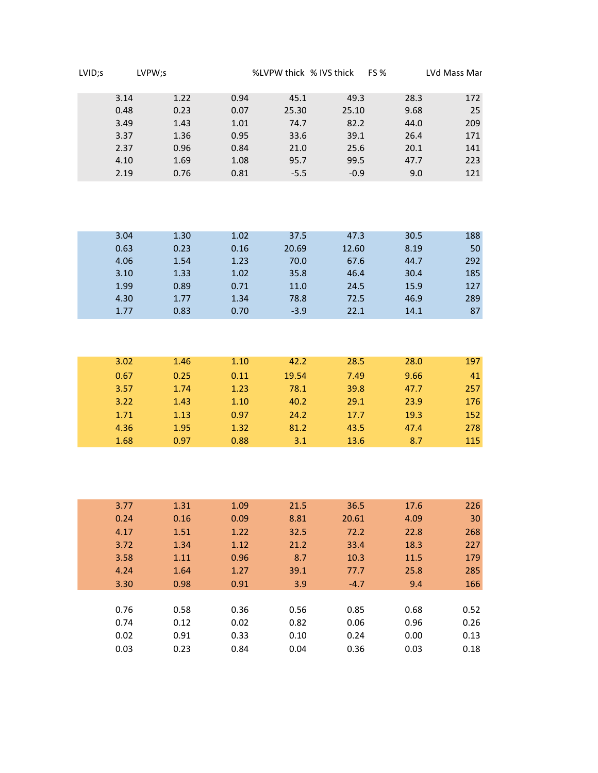| LVID;s | LVPW;s |      |      | %LVPW thick % IVS thick | <b>FS %</b> | LVd Mass Mar |     |
|--------|--------|------|------|-------------------------|-------------|--------------|-----|
|        | 3.14   | 1.22 | 0.94 | 45.1                    | 49.3        | 28.3         | 172 |
|        | 0.48   | 0.23 | 0.07 | 25.30                   | 25.10       | 9.68         | 25  |
|        | 3.49   | 1.43 | 1.01 | 74.7                    | 82.2        | 44.0         | 209 |
|        | 3.37   | 1.36 | 0.95 | 33.6                    | 39.1        | 26.4         | 171 |
|        | 2.37   | 0.96 | 0.84 | 21.0                    | 25.6        | 20.1         | 141 |
|        | 4.10   | 1.69 | 1.08 | 95.7                    | 99.5        | 47.7         | 223 |
|        | 2.19   | 0.76 | 0.81 | $-5.5$                  | $-0.9$      | 9.0          | 121 |

| 3.04 | 1.30 | 1.02 | 37.5   | 47.3  | 30.5 | 188 |
|------|------|------|--------|-------|------|-----|
| 0.63 | 0.23 | 0.16 | 20.69  | 12.60 | 8.19 | 50  |
| 4.06 | 1.54 | 1.23 | 70.0   | 67.6  | 44.7 | 292 |
| 3.10 | 1.33 | 1.02 | 35.8   | 46.4  | 30.4 | 185 |
| 1.99 | 0.89 | 0.71 | 11.0   | 24.5  | 15.9 | 127 |
| 4.30 | 1.77 | 1.34 | 78.8   | 72.5  | 46.9 | 289 |
| 1.77 | 0.83 | 0.70 | $-3.9$ | 22.1  | 14.1 | 87  |

| 3.02 | 1.46 | 1.10 | 42.2  | 28.5 | 28.0 | 197 |
|------|------|------|-------|------|------|-----|
| 0.67 | 0.25 | 0.11 | 19.54 | 7.49 | 9.66 | 41  |
| 3.57 | 1.74 | 1.23 | 78.1  | 39.8 | 47.7 | 257 |
| 3.22 | 1.43 | 1.10 | 40.2  | 29.1 | 23.9 | 176 |
| 1.71 | 1.13 | 0.97 | 24.2  | 17.7 | 19.3 | 152 |
| 4.36 | 1.95 | 1.32 | 81.2  | 43.5 | 47.4 | 278 |
| 1.68 | 0.97 | 0.88 | 3.1   | 13.6 | 8.7  | 115 |

| 3.77 | 1.31 | 1.09 | 21.5 | 36.5   | 17.6 | 226  |
|------|------|------|------|--------|------|------|
| 0.24 | 0.16 | 0.09 | 8.81 | 20.61  | 4.09 | 30   |
| 4.17 | 1.51 | 1.22 | 32.5 | 72.2   | 22.8 | 268  |
| 3.72 | 1.34 | 1.12 | 21.2 | 33.4   | 18.3 | 227  |
| 3.58 | 1.11 | 0.96 | 8.7  | 10.3   | 11.5 | 179  |
| 4.24 | 1.64 | 1.27 | 39.1 | 77.7   | 25.8 | 285  |
| 3.30 | 0.98 | 0.91 | 3.9  | $-4.7$ | 9.4  | 166  |
|      |      |      |      |        |      |      |
| 0.76 | 0.58 | 0.36 | 0.56 | 0.85   | 0.68 | 0.52 |
| 0.74 | 0.12 | 0.02 | 0.82 | 0.06   | 0.96 | 0.26 |
| 0.02 | 0.91 | 0.33 | 0.10 | 0.24   | 0.00 | 0.13 |
| 0.03 | 0.23 | 0.84 | 0.04 | 0.36   | 0.03 | 0.18 |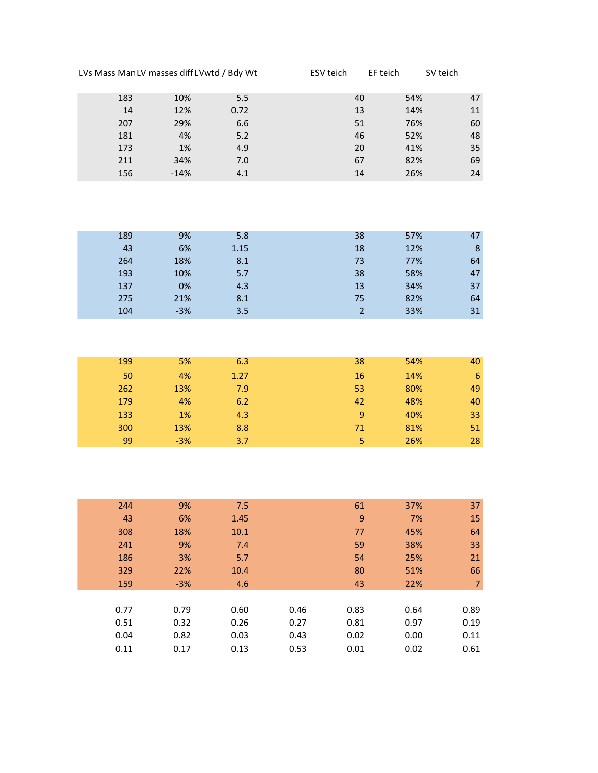| LVs Mass Man LV masses diff LVwtd / Bdy Wt |        |      | ESV teich | EF teich | SV teich |    |
|--------------------------------------------|--------|------|-----------|----------|----------|----|
| 183                                        | 10%    | 5.5  |           | 40       | 54%      | 47 |
| 14                                         | 12%    | 0.72 |           | 13       | 14%      | 11 |
| 207                                        | 29%    | 6.6  |           | 51       | 76%      | 60 |
| 181                                        | 4%     | 5.2  |           | 46       | 52%      | 48 |
| 173                                        | 1%     | 4.9  |           | 20       | 41%      | 35 |
| 211                                        | 34%    | 7.0  |           | 67       | 82%      | 69 |
| 156                                        | $-14%$ | 4.1  |           | 14       | 26%      | 24 |

| 189 | 9%    | 5.8  | 38 | 57% | 47 |
|-----|-------|------|----|-----|----|
| 43  | 6%    | 1.15 | 18 | 12% | 8  |
| 264 | 18%   | 8.1  | 73 | 77% | 64 |
| 193 | 10%   | 5.7  | 38 | 58% | 47 |
| 137 | 0%    | 4.3  | 13 | 34% | 37 |
| 275 | 21%   | 8.1  | 75 | 82% | 64 |
| 104 | $-3%$ | 3.5  |    | 33% | 31 |

| 199 | 5%    | 6.3  | 38 | 54% | 40 |
|-----|-------|------|----|-----|----|
| 50  | 4%    | 1.27 | 16 | 14% | 6  |
| 262 | 13%   | 7.9  | 53 | 80% | 49 |
| 179 | 4%    | 6.2  | 42 | 48% | 40 |
| 133 | 1%    | 4.3  | 9  | 40% | 33 |
| 300 | 13%   | 8.8  | 71 | 81% | 51 |
| 99  | $-3%$ | 3.7  | 5  | 26% | 28 |

| 244  | 9%    | 7.5  |      | 61   | 37%  | 37   |
|------|-------|------|------|------|------|------|
| 43   | 6%    | 1.45 |      | 9    | 7%   | 15   |
| 308  | 18%   | 10.1 |      | 77   | 45%  | 64   |
| 241  | 9%    | 7.4  |      | 59   | 38%  | 33   |
| 186  | 3%    | 5.7  |      | 54   | 25%  | 21   |
| 329  | 22%   | 10.4 |      | 80   | 51%  | 66   |
| 159  | $-3%$ | 4.6  |      | 43   | 22%  | 7    |
|      |       |      |      |      |      |      |
| 0.77 | 0.79  | 0.60 | 0.46 | 0.83 | 0.64 | 0.89 |
| 0.51 | 0.32  | 0.26 | 0.27 | 0.81 | 0.97 | 0.19 |
| 0.04 | 0.82  | 0.03 | 0.43 | 0.02 | 0.00 | 0.11 |
| 0.11 | 0.17  | 0.13 | 0.53 | 0.01 | 0.02 | 0.61 |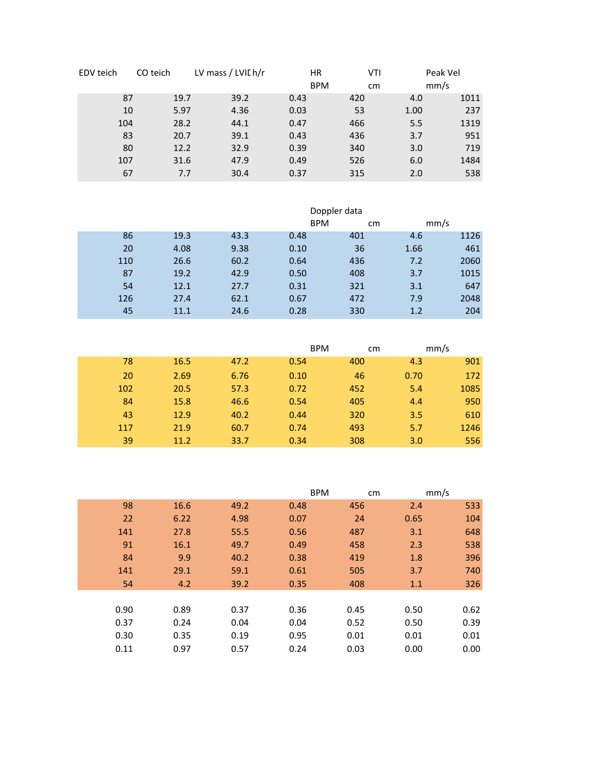| EDV teich | CO teich | LV mass / LVII h/r |      | <b>HR</b><br><b>BPM</b> | VTI<br>cm | Peak Vel<br>mm/s |
|-----------|----------|--------------------|------|-------------------------|-----------|------------------|
| 87        | 19.7     | 39.2               | 0.43 | 420                     | 4.0       | 1011             |
| 10        | 5.97     | 4.36               | 0.03 | 53                      | 1.00      | 237              |
| 104       | 28.2     | 44.1               | 0.47 | 466                     | 5.5       | 1319             |
| 83        | 20.7     | 39.1               | 0.43 | 436                     | 3.7       | 951              |
| 80        | 12.2     | 32.9               | 0.39 | 340                     | 3.0       | 719              |
| 107       | 31.6     | 47.9               | 0.49 | 526                     | 6.0       | 1484             |
| 67        | 7.7      | 30.4               | 0.37 | 315                     | 2.0       | 538              |

|     | Doppler data |      |      |            |      |      |
|-----|--------------|------|------|------------|------|------|
|     |              |      |      | <b>BPM</b> | cm   | mm/s |
| 86  | 19.3         | 43.3 | 0.48 | 401        | 4.6  | 1126 |
| 20  | 4.08         | 9.38 | 0.10 | 36         | 1.66 | 461  |
| 110 | 26.6         | 60.2 | 0.64 | 436        | 7.2  | 2060 |
| 87  | 19.2         | 42.9 | 0.50 | 408        | 3.7  | 1015 |
| 54  | 12.1         | 27.7 | 0.31 | 321        | 3.1  | 647  |
| 126 | 27.4         | 62.1 | 0.67 | 472        | 7.9  | 2048 |
| 45  | 11.1         | 24.6 | 0.28 | 330        | 1.2  | 204  |

|     |      |      |      | <b>BPM</b> | cm   | mm/s |
|-----|------|------|------|------------|------|------|
| 78  | 16.5 | 47.2 | 0.54 | 400        | 4.3  | 901  |
| 20  | 2.69 | 6.76 | 0.10 | 46         | 0.70 | 172  |
| 102 | 20.5 | 57.3 | 0.72 | 452        | 5.4  | 1085 |
| 84  | 15.8 | 46.6 | 0.54 | 405        | 4.4  | 950  |
| 43  | 12.9 | 40.2 | 0.44 | 320        | 3.5  | 610  |
| 117 | 21.9 | 60.7 | 0.74 | 493        | 5.7  | 1246 |
| 39  | 11.2 | 33.7 | 0.34 | 308        | 3.0  | 556  |

|      |      |      |      | <b>BPM</b> | cm   | mm/s |
|------|------|------|------|------------|------|------|
| 98   | 16.6 | 49.2 | 0.48 | 456        | 2.4  | 533  |
| 22   | 6.22 | 4.98 | 0.07 | 24         | 0.65 | 104  |
| 141  | 27.8 | 55.5 | 0.56 | 487        | 3.1  | 648  |
| 91   | 16.1 | 49.7 | 0.49 | 458        | 2.3  | 538  |
| 84   | 9.9  | 40.2 | 0.38 | 419        | 1.8  | 396  |
| 141  | 29.1 | 59.1 | 0.61 | 505        | 3.7  | 740  |
| 54   | 4.2  | 39.2 | 0.35 | 408        | 1.1  | 326  |
|      |      |      |      |            |      |      |
| 0.90 | 0.89 | 0.37 | 0.36 | 0.45       | 0.50 | 0.62 |
| 0.37 | 0.24 | 0.04 | 0.04 | 0.52       | 0.50 | 0.39 |
| 0.30 | 0.35 | 0.19 | 0.95 | 0.01       | 0.01 | 0.01 |
| 0.11 | 0.97 | 0.57 | 0.24 | 0.03       | 0.00 | 0.00 |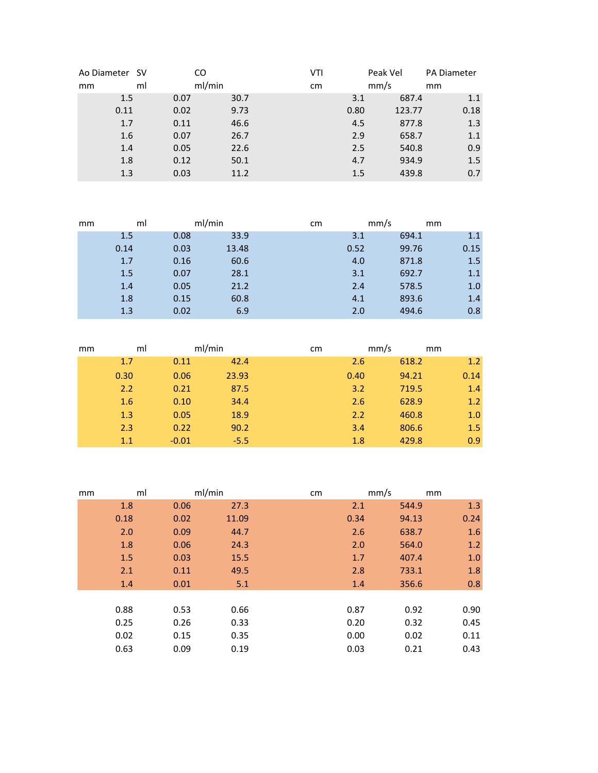| Ao Diameter SV |    | CO     |      | VTI | Peak Vel |        | <b>PA Diameter</b> |
|----------------|----|--------|------|-----|----------|--------|--------------------|
| mm             | ml | ml/min |      | cm  | mm/s     |        | mm                 |
| 1.5            |    | 0.07   | 30.7 |     | 3.1      | 687.4  | 1.1                |
| 0.11           |    | 0.02   | 9.73 |     | 0.80     | 123.77 | 0.18               |
| 1.7            |    | 0.11   | 46.6 |     | 4.5      | 877.8  | 1.3                |
| 1.6            |    | 0.07   | 26.7 |     | 2.9      | 658.7  | 1.1                |
| 1.4            |    | 0.05   | 22.6 |     | 2.5      | 540.8  | 0.9                |
| 1.8            |    | 0.12   | 50.1 |     | 4.7      | 934.9  | 1.5                |
| 1.3            |    | 0.03   | 11.2 |     | 1.5      | 439.8  | 0.7                |

| mm | ml   |      | ml/min | cm | mm/s |       | mm   |
|----|------|------|--------|----|------|-------|------|
|    | 1.5  | 0.08 | 33.9   |    | 3.1  | 694.1 | 1.1  |
|    | 0.14 | 0.03 | 13.48  |    | 0.52 | 99.76 | 0.15 |
|    | 1.7  | 0.16 | 60.6   |    | 4.0  | 871.8 | 1.5  |
|    | 1.5  | 0.07 | 28.1   |    | 3.1  | 692.7 | 1.1  |
|    | 1.4  | 0.05 | 21.2   |    | 2.4  | 578.5 | 1.0  |
|    | 1.8  | 0.15 | 60.8   |    | 4.1  | 893.6 | 1.4  |
|    | 1.3  | 0.02 | 6.9    |    | 2.0  | 494.6 | 0.8  |

| mm | ml   | ml/min  |        | cm |      | mm/s  | mm   |
|----|------|---------|--------|----|------|-------|------|
|    | 1.7  | 0.11    | 42.4   |    | 2.6  | 618.2 | 1.2  |
|    | 0.30 | 0.06    | 23.93  |    | 0.40 | 94.21 | 0.14 |
|    | 2.2  | 0.21    | 87.5   |    | 3.2  | 719.5 | 1.4  |
|    | 1.6  | 0.10    | 34.4   |    | 2.6  | 628.9 | 1.2  |
|    | 1.3  | 0.05    | 18.9   |    | 2.2  | 460.8 | 1.0  |
|    | 2.3  | 0.22    | 90.2   |    | 3.4  | 806.6 | 1.5  |
|    | 1.1  | $-0.01$ | $-5.5$ |    | 1.8  | 429.8 | 0.9  |

| mm | ml   | ml/min |       | cm | mm/s |       | mm    |
|----|------|--------|-------|----|------|-------|-------|
|    | 1.8  | 0.06   | 27.3  |    | 2.1  | 544.9 | 1.3   |
|    | 0.18 | 0.02   | 11.09 |    | 0.34 | 94.13 | 0.24  |
|    | 2.0  | 0.09   | 44.7  |    | 2.6  | 638.7 | 1.6   |
|    | 1.8  | 0.06   | 24.3  |    | 2.0  | 564.0 | 1.2   |
|    | 1.5  | 0.03   | 15.5  |    | 1.7  | 407.4 | $1.0$ |
|    | 2.1  | 0.11   | 49.5  |    | 2.8  | 733.1 | 1.8   |
|    | 1.4  | 0.01   | 5.1   |    | 1.4  | 356.6 | 0.8   |
|    |      |        |       |    |      |       |       |
|    | 0.88 | 0.53   | 0.66  |    | 0.87 | 0.92  | 0.90  |
|    | 0.25 | 0.26   | 0.33  |    | 0.20 | 0.32  | 0.45  |
|    | 0.02 | 0.15   | 0.35  |    | 0.00 | 0.02  | 0.11  |
|    | 0.63 | 0.09   | 0.19  |    | 0.03 | 0.21  | 0.43  |